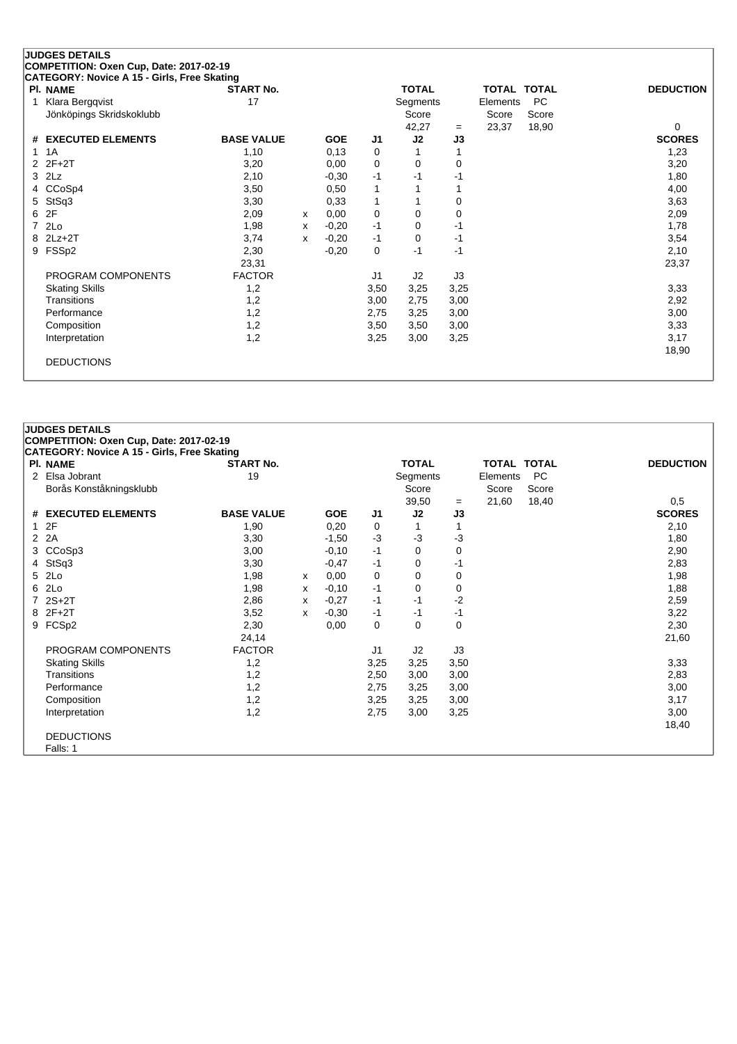## **JUDGES DETAILS COMPETITION: Oxen Cup, Date: 2017-02-19 CATEGORY: Novice A 15 - Girls, Free Skating**

| PI. NAME                 | <b>START No.</b>  |   |            |                | <b>TOTAL</b> |      | <b>TOTAL TOTAL</b> |           | <b>DEDUCTION</b> |
|--------------------------|-------------------|---|------------|----------------|--------------|------|--------------------|-----------|------------------|
|                          |                   |   |            |                |              |      |                    |           |                  |
| Klara Bergqvist          | 17                |   |            |                | Segments     |      | Elements           | <b>PC</b> |                  |
| Jönköpings Skridskoklubb |                   |   |            |                | Score        |      | Score              | Score     |                  |
|                          |                   |   |            |                | 42,27        | $=$  | 23,37              | 18,90     | $\Omega$         |
| # EXECUTED ELEMENTS      | <b>BASE VALUE</b> |   | <b>GOE</b> | J <sub>1</sub> | J2           | J3   |                    |           | <b>SCORES</b>    |
| 1 1 A                    | 1,10              |   | 0,13       | 0              |              |      |                    |           | 1,23             |
| $2$ $2F+2T$              | 3,20              |   | 0,00       | 0              | 0            | 0    |                    |           | 3,20             |
| $3$ $2Lz$                | 2,10              |   | $-0,30$    | $-1$           | $-1$         | -1   |                    |           | 1,80             |
| 4 CCoSp4                 | 3,50              |   | 0,50       | 1              |              |      |                    |           | 4,00             |
| 5 StSq3                  | 3,30              |   | 0,33       | 1              |              | 0    |                    |           | 3,63             |
| 6 2F                     | 2,09              | x | 0,00       | 0              | 0            | 0    |                    |           | 2,09             |
| 7 2Lo                    | 1,98              | x | $-0,20$    | -1             | 0            | -1   |                    |           | 1,78             |
| 8 2Lz+2T                 | 3,74              | x | $-0,20$    | $-1$           | 0            | $-1$ |                    |           | 3,54             |
| 9 FSSp2                  | 2,30              |   | $-0,20$    | 0              | $-1$         | $-1$ |                    |           | 2,10             |
|                          | 23,31             |   |            |                |              |      |                    |           | 23,37            |
| PROGRAM COMPONENTS       | <b>FACTOR</b>     |   |            | J <sub>1</sub> | J2           | J3   |                    |           |                  |
| <b>Skating Skills</b>    | 1,2               |   |            | 3,50           | 3,25         | 3,25 |                    |           | 3,33             |
| <b>Transitions</b>       | 1,2               |   |            | 3,00           | 2,75         | 3,00 |                    |           | 2,92             |
| Performance              | 1,2               |   |            | 2,75           | 3,25         | 3,00 |                    |           | 3,00             |
| Composition              | 1,2               |   |            | 3,50           | 3,50         | 3,00 |                    |           | 3,33             |
| Interpretation           | 1,2               |   |            | 3,25           | 3,00         | 3,25 |                    |           | 3,17             |
|                          |                   |   |            |                |              |      |                    |           | 18,90            |
| <b>DEDUCTIONS</b>        |                   |   |            |                |              |      |                    |           |                  |
|                          |                   |   |            |                |              |      |                    |           |                  |

### **JUDGES DETAILS COMPETITION: Oxen Cup, Date: 2017-02-19 CATEGORY: Novice A 15 - Girls, Free Skating Pl. NAME START No. TOTAL TOTAL TOTAL DEDUCTION** 2 Elsa Jobrant 19 19 and 19 Segments Elements PC Borås Konståkningsklubb 1999 blev 1999 blev Score Score Score Score Score Score Score Score Score Score Score Score Score Score Score Score Score Score Score Score Score Score Score Score Score Score Score Score Score Scor  $\frac{3}{3}$  = 21,60 18,40 0,5<br>33 SCORES **# EXECUTED ELEMENTS BASE VALUE GOE J1 J2 J3 SCORES** 1 2F 1,90 0,20 0 1 1 2,10 2 2A 3,30 -1,50 -3 -3 -3 -3 -3 -4,80 3 CCoSp3 3,00 -0,10 -1 0 0 2,90 4 StSq3 3,30 -0,47 -1 0 -1 2,83 5 2Lo 1,98 <sup>x</sup> 0,00 0 0 0 1,98 6 2Lo 1,98 <sup>x</sup> -0,10 -1 0 0 1,88 7 2S+2T 2,86 <sup>x</sup> -0,27 -1 -1 -2 2,59 8 2F+2T 3,52 <sup>x</sup> -0,30 -1 -1 -1 3,22 9 FCSp2 2,30 0,00 0 0 0 2,30 24,14 21,60 PROGRAM COMPONENTS FACTOR J1 J2 J3 Skating Skills 1,2 3,25 3,25 3,50 3,33 Transitions 1,2 2,50 3,00 3,00 2,83 Performance 1,2 2,75 3,05 3,00 3,00 Composition 1,2 3,25 3,00 3,17 Interpretation 1,2 2,75 3,00 3,25 3,00 18,40 DEDUCTIONS Falls: 1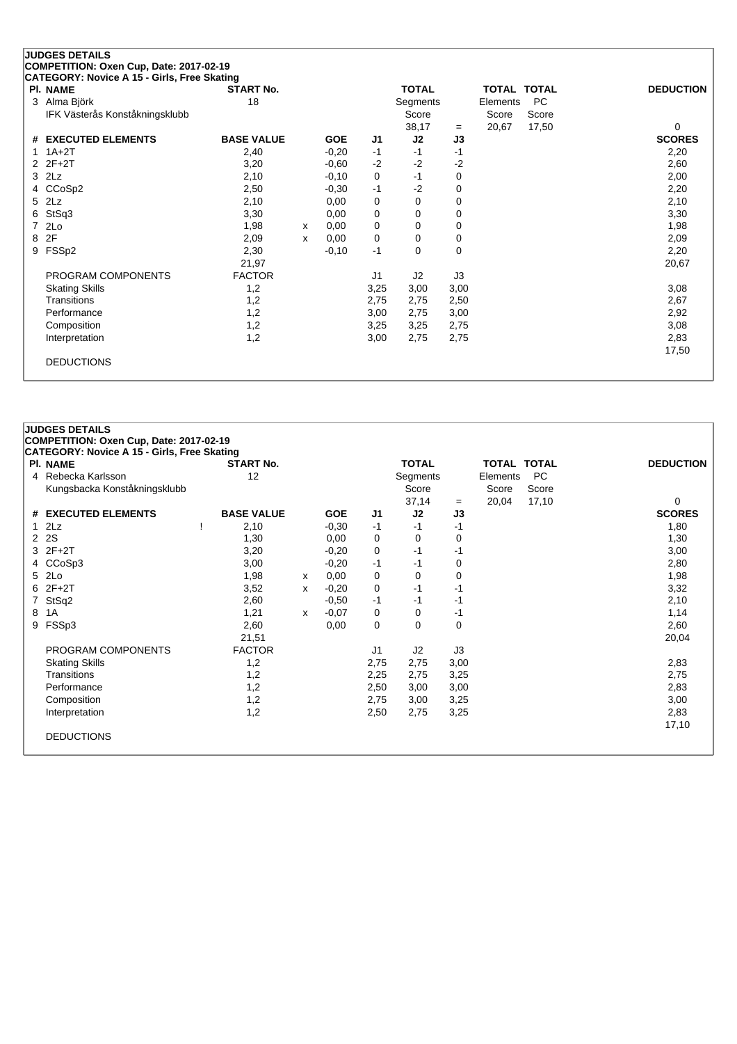|   | <b>JUDGES DETAILS</b>                       |                   |   |            |                |              |      |                    |       |                  |
|---|---------------------------------------------|-------------------|---|------------|----------------|--------------|------|--------------------|-------|------------------|
|   | COMPETITION: Oxen Cup, Date: 2017-02-19     |                   |   |            |                |              |      |                    |       |                  |
|   | CATEGORY: Novice A 15 - Girls, Free Skating |                   |   |            |                |              |      |                    |       |                  |
|   | PI. NAME                                    | <b>START No.</b>  |   |            |                | <b>TOTAL</b> |      | <b>TOTAL TOTAL</b> |       | <b>DEDUCTION</b> |
| 3 | Alma Björk                                  | 18                |   |            |                | Segments     |      | Elements           | PC    |                  |
|   | IFK Västerås Konståkningsklubb              |                   |   |            |                | Score        |      | Score              | Score |                  |
|   |                                             |                   |   |            |                | 38,17        | $=$  | 20,67              | 17,50 | 0                |
| # | <b>EXECUTED ELEMENTS</b>                    | <b>BASE VALUE</b> |   | <b>GOE</b> | J1             | J2           | J3   |                    |       | <b>SCORES</b>    |
|   | $1A+2T$                                     | 2,40              |   | $-0,20$    | $-1$           | $-1$         | -1   |                    |       | 2,20             |
| 2 | $2F+2T$                                     | 3,20              |   | $-0.60$    | $-2$           | $-2$         | $-2$ |                    |       | 2,60             |
| 3 | 2Lz                                         | 2,10              |   | $-0,10$    | 0              | $-1$         | 0    |                    |       | 2,00             |
| 4 | CCoSp2                                      | 2,50              |   | $-0,30$    | $-1$           | $-2$         | 0    |                    |       | 2,20             |
| 5 | 2Lz                                         | 2,10              |   | 0,00       | 0              | 0            | 0    |                    |       | 2,10             |
| 6 | StSq3                                       | 3,30              |   | 0,00       | 0              | $\Omega$     | 0    |                    |       | 3,30             |
|   | 2Lo                                         | 1,98              | x | 0,00       | 0              | 0            | 0    |                    |       | 1,98             |
| 8 | 2F                                          | 2,09              | X | 0,00       | 0              | 0            | 0    |                    |       | 2,09             |
| 9 | FSSp2                                       | 2,30              |   | $-0,10$    | $-1$           | 0            | 0    |                    |       | 2,20             |
|   |                                             | 21,97             |   |            |                |              |      |                    |       | 20,67            |
|   | PROGRAM COMPONENTS                          | <b>FACTOR</b>     |   |            | J <sub>1</sub> | J2           | J3   |                    |       |                  |
|   | <b>Skating Skills</b>                       | 1,2               |   |            | 3,25           | 3,00         | 3,00 |                    |       | 3,08             |
|   | Transitions                                 | 1,2               |   |            | 2,75           | 2,75         | 2,50 |                    |       | 2,67             |
|   | Performance                                 | 1,2               |   |            | 3,00           | 2,75         | 3,00 |                    |       | 2,92             |
|   | Composition                                 | 1,2               |   |            | 3,25           | 3,25         | 2,75 |                    |       | 3,08             |
|   | Interpretation                              | 1,2               |   |            | 3,00           | 2,75         | 2,75 |                    |       | 2,83             |
|   |                                             |                   |   |            |                |              |      |                    |       | 17,50            |
|   | <b>DEDUCTIONS</b>                           |                   |   |            |                |              |      |                    |       |                  |
|   |                                             |                   |   |            |                |              |      |                    |       |                  |

# **JUDGES DETAILS**

|   | <b>PI. NAME</b>              | <b>START No.</b>  |   |            |                | <b>TOTAL</b> |             | <b>TOTAL TOTAL</b> |           | <b>DEDUCTION</b> |
|---|------------------------------|-------------------|---|------------|----------------|--------------|-------------|--------------------|-----------|------------------|
|   | 4 Rebecka Karlsson           | 12                |   |            |                | Segments     |             | Elements           | <b>PC</b> |                  |
|   | Kungsbacka Konståkningsklubb |                   |   |            |                | Score        |             | Score              | Score     |                  |
|   |                              |                   |   |            |                | 37,14        | $=$         | 20,04              | 17,10     | $\Omega$         |
|   | # EXECUTED ELEMENTS          | <b>BASE VALUE</b> |   | <b>GOE</b> | J <sub>1</sub> | J2           | J3          |                    |           | <b>SCORES</b>    |
|   | 12Lz                         | 2,10              |   | $-0,30$    | -1             | -1           | -1          |                    |           | 1,80             |
|   | 2 2 S                        | 1,30              |   | 0,00       | 0              | 0            | 0           |                    |           | 1,30             |
|   | 3 2F+2T                      | 3,20              |   | $-0,20$    | 0              | -1           | -1          |                    |           | 3,00             |
|   | 4 CCoSp3                     | 3,00              |   | $-0,20$    | -1             | -1           | 0           |                    |           | 2,80             |
|   | 5 2Lo                        | 1,98              | x | 0,00       | 0              | 0            | $\mathbf 0$ |                    |           | 1,98             |
|   | $62F+2T$                     | 3,52              | x | $-0,20$    | 0              | -1           | -1          |                    |           | 3,32             |
|   | 7 StSq2                      | 2,60              |   | $-0.50$    | $-1$           | -1           | -1          |                    |           | 2,10             |
| 8 | 1A                           | 1,21              | x | $-0,07$    | 0              | 0            | -1          |                    |           | 1,14             |
|   | 9 FSSp3                      | 2,60              |   | 0,00       | 0              | 0            | 0           |                    |           | 2,60             |
|   |                              | 21,51             |   |            |                |              |             |                    |           | 20,04            |
|   | PROGRAM COMPONENTS           | <b>FACTOR</b>     |   |            | J1             | J2           | J3          |                    |           |                  |
|   | <b>Skating Skills</b>        | 1,2               |   |            | 2,75           | 2,75         | 3,00        |                    |           | 2,83             |
|   | Transitions                  | 1,2               |   |            | 2,25           | 2,75         | 3,25        |                    |           | 2,75             |
|   | Performance                  | 1,2               |   |            | 2,50           | 3,00         | 3,00        |                    |           | 2,83             |
|   | Composition                  | 1,2               |   |            | 2,75           | 3,00         | 3,25        |                    |           | 3,00             |
|   | Interpretation               | 1,2               |   |            | 2,50           | 2,75         | 3,25        |                    |           | 2,83             |
|   |                              |                   |   |            |                |              |             |                    |           | 17,10            |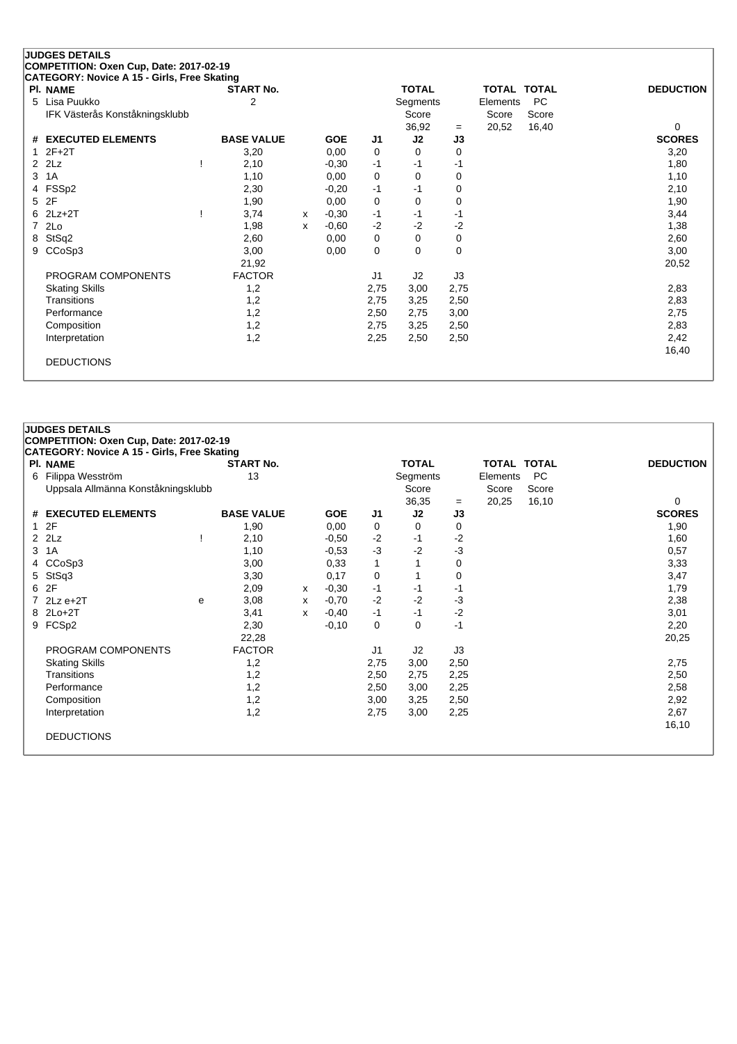|   | <b>JUDGES DETAILS</b>                       |                   |   |            |      |              |      |                    |           |                  |
|---|---------------------------------------------|-------------------|---|------------|------|--------------|------|--------------------|-----------|------------------|
|   | COMPETITION: Oxen Cup, Date: 2017-02-19     |                   |   |            |      |              |      |                    |           |                  |
|   | CATEGORY: Novice A 15 - Girls, Free Skating |                   |   |            |      |              |      |                    |           |                  |
|   | PI. NAME                                    | <b>START No.</b>  |   |            |      | <b>TOTAL</b> |      | <b>TOTAL TOTAL</b> |           | <b>DEDUCTION</b> |
| 5 | Lisa Puukko                                 | 2                 |   |            |      | Segments     |      | Elements           | <b>PC</b> |                  |
|   | IFK Västerås Konståkningsklubb              |                   |   |            |      | Score        |      | Score              | Score     |                  |
|   |                                             |                   |   |            |      | 36,92        | $=$  | 20,52              | 16,40     | 0                |
| # | <b>EXECUTED ELEMENTS</b>                    | <b>BASE VALUE</b> |   | <b>GOE</b> | J1   | J2           | J3   |                    |           | <b>SCORES</b>    |
|   | $2F+2T$                                     | 3,20              |   | 0,00       | 0    | 0            | 0    |                    |           | 3,20             |
| 2 | 2Lz                                         | 2,10              |   | $-0,30$    | $-1$ | -1           | -1   |                    |           | 1,80             |
| 3 | 1A                                          | 1,10              |   | 0,00       | 0    | $\Omega$     | 0    |                    |           | 1,10             |
| 4 | FSSp2                                       | 2,30              |   | $-0,20$    | $-1$ | $-1$         | 0    |                    |           | 2,10             |
| 5 | 2F                                          | 1,90              |   | 0,00       | 0    | $\Omega$     | 0    |                    |           | 1,90             |
| 6 | $2Lz+2T$                                    | 3,74              | x | $-0,30$    | $-1$ | -1           | $-1$ |                    |           | 3,44             |
| 7 | 2Lo                                         | 1,98              | x | $-0,60$    | $-2$ | $-2$         | $-2$ |                    |           | 1,38             |
| 8 | StSq2                                       | 2,60              |   | 0,00       | 0    | 0            | 0    |                    |           | 2,60             |
| 9 | CCoSp3                                      | 3,00              |   | 0,00       | 0    | $\Omega$     | 0    |                    |           | 3,00             |
|   |                                             | 21,92             |   |            |      |              |      |                    |           | 20,52            |
|   | PROGRAM COMPONENTS                          | <b>FACTOR</b>     |   |            | J1   | J2           | J3   |                    |           |                  |
|   | <b>Skating Skills</b>                       | 1,2               |   |            | 2,75 | 3,00         | 2,75 |                    |           | 2,83             |
|   | Transitions                                 | 1,2               |   |            | 2,75 | 3,25         | 2,50 |                    |           | 2,83             |
|   | Performance                                 | 1,2               |   |            | 2,50 | 2,75         | 3,00 |                    |           | 2,75             |
|   | Composition                                 | 1,2               |   |            | 2,75 | 3,25         | 2,50 |                    |           | 2,83             |
|   | Interpretation                              | 1,2               |   |            | 2,25 | 2,50         | 2,50 |                    |           | 2,42             |
|   |                                             |                   |   |            |      |              |      |                    |           | 16,40            |
|   | <b>DEDUCTIONS</b>                           |                   |   |            |      |              |      |                    |           |                  |
|   |                                             |                   |   |            |      |              |      |                    |           |                  |
|   |                                             |                   |   |            |      |              |      |                    |           |                  |

|   | <b>JUDGES DETAILS</b>                       |                   |   |            |      |              |      |             |           |                  |  |  |  |
|---|---------------------------------------------|-------------------|---|------------|------|--------------|------|-------------|-----------|------------------|--|--|--|
|   | COMPETITION: Oxen Cup, Date: 2017-02-19     |                   |   |            |      |              |      |             |           |                  |  |  |  |
|   | CATEGORY: Novice A 15 - Girls, Free Skating |                   |   |            |      |              |      |             |           |                  |  |  |  |
|   | <b>PI. NAME</b>                             | <b>START No.</b>  |   |            |      | <b>TOTAL</b> |      | TOTAL TOTAL |           | <b>DEDUCTION</b> |  |  |  |
|   | 6 Filippa Wesström                          | 13                |   |            |      | Segments     |      | Elements    | <b>PC</b> |                  |  |  |  |
|   | Uppsala Allmänna Konståkningsklubb          |                   |   |            |      | Score        |      | Score       | Score     |                  |  |  |  |
|   |                                             |                   |   |            |      | 36,35        | $=$  | 20,25       | 16,10     | 0                |  |  |  |
|   | # EXECUTED ELEMENTS                         | <b>BASE VALUE</b> |   | <b>GOE</b> | J1   | J2           | J3   |             |           | <b>SCORES</b>    |  |  |  |
|   | 12F                                         | 1,90              |   | 0,00       | 0    | 0            | 0    |             |           | 1,90             |  |  |  |
|   | $2$ $2$ Lz                                  | 2,10              |   | $-0,50$    | $-2$ | $-1$         | $-2$ |             |           | 1,60             |  |  |  |
| 3 | 1A                                          | 1,10              |   | $-0,53$    | $-3$ | $-2$         | $-3$ |             |           | 0,57             |  |  |  |
|   | 4 CCoSp3                                    | 3,00              |   | 0,33       |      |              | 0    |             |           | 3,33             |  |  |  |
|   | 5 StSq3                                     | 3,30              |   | 0,17       | 0    | 1            | 0    |             |           | 3,47             |  |  |  |
|   | 6 2F                                        | 2,09              | x | $-0,30$    | $-1$ | $-1$         | $-1$ |             |           | 1,79             |  |  |  |
|   | 7 $2Lz e+2T$<br>e                           | 3,08              | x | $-0,70$    | $-2$ | $-2$         | $-3$ |             |           | 2,38             |  |  |  |
|   | 8 2Lo+2T                                    | 3,41              | x | $-0,40$    | $-1$ | $-1$         | $-2$ |             |           | 3,01             |  |  |  |
|   | 9 FCSp2                                     | 2,30              |   | $-0,10$    | 0    | 0            | $-1$ |             |           | 2,20             |  |  |  |
|   |                                             | 22,28             |   |            |      |              |      |             |           | 20,25            |  |  |  |
|   | PROGRAM COMPONENTS                          | <b>FACTOR</b>     |   |            | J1   | J2           | J3   |             |           |                  |  |  |  |
|   | <b>Skating Skills</b>                       | 1,2               |   |            | 2,75 | 3,00         | 2,50 |             |           | 2,75             |  |  |  |
|   | Transitions                                 | 1,2               |   |            | 2,50 | 2,75         | 2,25 |             |           | 2,50             |  |  |  |
|   | Performance                                 | 1,2               |   |            | 2,50 | 3,00         | 2,25 |             |           | 2,58             |  |  |  |
|   | Composition                                 | 1,2               |   |            | 3,00 | 3,25         | 2,50 |             |           | 2,92             |  |  |  |
|   | Interpretation                              | 1,2               |   |            | 2,75 | 3,00         | 2,25 |             |           | 2,67             |  |  |  |
|   |                                             |                   |   |            |      |              |      |             |           | 16,10            |  |  |  |
|   | <b>DEDUCTIONS</b>                           |                   |   |            |      |              |      |             |           |                  |  |  |  |
|   |                                             |                   |   |            |      |              |      |             |           |                  |  |  |  |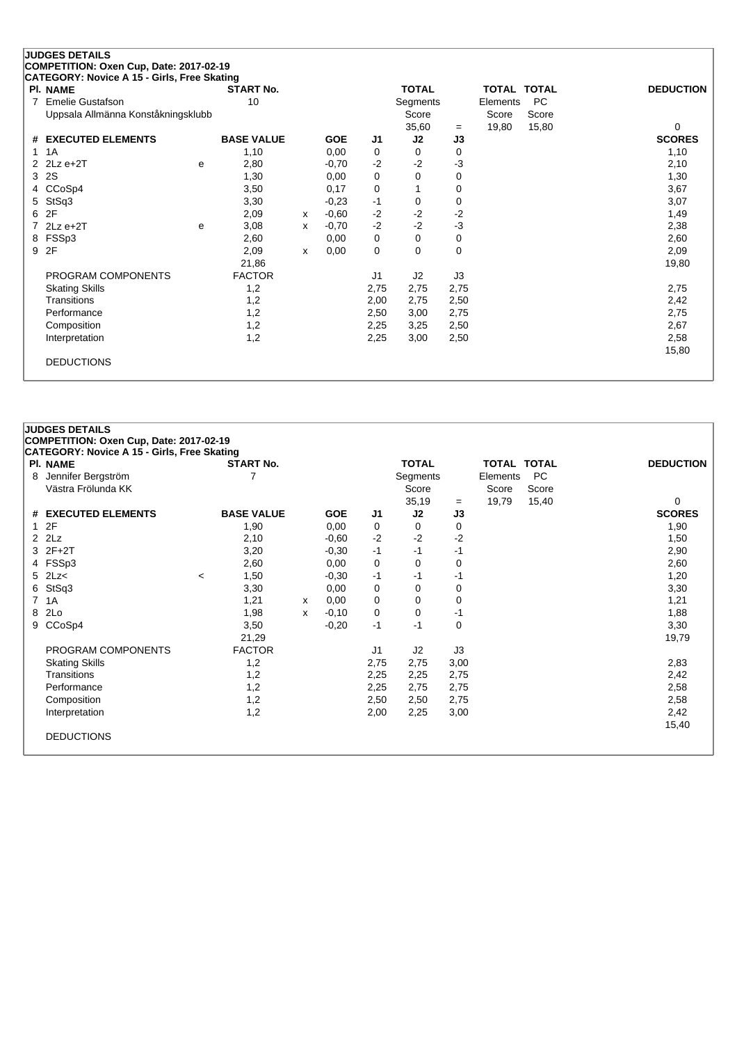|               | <b>JUDGES DETAILS</b><br>COMPETITION: Oxen Cup, Date: 2017-02-19 |   |                   |   |            |                |              |             |             |       |                  |
|---------------|------------------------------------------------------------------|---|-------------------|---|------------|----------------|--------------|-------------|-------------|-------|------------------|
|               | CATEGORY: Novice A 15 - Girls, Free Skating                      |   |                   |   |            |                |              |             |             |       |                  |
|               | PI. NAME                                                         |   | <b>START No.</b>  |   |            |                | <b>TOTAL</b> |             | TOTAL TOTAL |       | <b>DEDUCTION</b> |
| 7             | <b>Emelie Gustafson</b>                                          |   | 10                |   |            |                | Segments     |             | Elements    | PC    |                  |
|               | Uppsala Allmänna Konståkningsklubb                               |   |                   |   |            |                | Score        |             | Score       | Score |                  |
|               |                                                                  |   |                   |   |            |                | 35,60        | $=$         | 19,80       | 15,80 | 0                |
|               | # EXECUTED ELEMENTS                                              |   | <b>BASE VALUE</b> |   | <b>GOE</b> | J1             | J2           | J3          |             |       | <b>SCORES</b>    |
|               | 1A                                                               |   | 1,10              |   | 0,00       | 0              | 0            | 0           |             |       | 1,10             |
| $\mathcal{P}$ | $2Lz e+2T$                                                       | e | 2,80              |   | $-0,70$    | $-2$           | $-2$         | $-3$        |             |       | 2,10             |
| 3             | 2S                                                               |   | 1,30              |   | 0,00       | 0              | $\Omega$     | $\mathbf 0$ |             |       | 1,30             |
| 4             | CCoSp4                                                           |   | 3,50              |   | 0,17       | 0              |              | 0           |             |       | 3,67             |
| 5             | StSq3                                                            |   | 3,30              |   | $-0,23$    | -1             | 0            | 0           |             |       | 3,07             |
| 6             | 2F                                                               |   | 2,09              | X | $-0,60$    | $-2$           | $-2$         | $-2$        |             |       | 1,49             |
|               | $2Lz e+2T$                                                       | e | 3,08              | x | $-0,70$    | $-2$           | $-2$         | $-3$        |             |       | 2,38             |
| 8             | FSSp3                                                            |   | 2,60              |   | 0,00       | 0              | 0            | 0           |             |       | 2,60             |
| 9             | 2F                                                               |   | 2,09              | x | 0,00       | 0              | 0            | $\mathbf 0$ |             |       | 2,09             |
|               |                                                                  |   | 21,86             |   |            |                |              |             |             |       | 19,80            |
|               | PROGRAM COMPONENTS                                               |   | <b>FACTOR</b>     |   |            | J <sub>1</sub> | J2           | J3          |             |       |                  |
|               | <b>Skating Skills</b>                                            |   | 1,2               |   |            | 2,75           | 2,75         | 2,75        |             |       | 2,75             |
|               | Transitions                                                      |   | 1,2               |   |            | 2,00           | 2,75         | 2,50        |             |       | 2,42             |
|               | Performance                                                      |   | 1,2               |   |            | 2,50           | 3,00         | 2,75        |             |       | 2,75             |
|               | Composition                                                      |   | 1,2               |   |            | 2,25           | 3,25         | 2,50        |             |       | 2,67             |
|               | Interpretation                                                   |   | 1,2               |   |            | 2,25           | 3,00         | 2,50        |             |       | 2,58             |
|               |                                                                  |   |                   |   |            |                |              |             |             |       | 15,80            |
|               | <b>DEDUCTIONS</b>                                                |   |                   |   |            |                |              |             |             |       |                  |
|               |                                                                  |   |                   |   |            |                |              |             |             |       |                  |

# **COMPETITION: Oxen Cup, Date: 2017-02-19 CATEGORY: Novice A 15 - Girls, Free Skating**

**JUDGES DETAILS**

|    | PI. NAME                 |         | <b>START No.</b>  |   |            |                | <b>TOTAL</b> |             |          | TOTAL TOTAL | <b>DEDUCTION</b> |
|----|--------------------------|---------|-------------------|---|------------|----------------|--------------|-------------|----------|-------------|------------------|
| 8  | Jennifer Bergström       |         |                   |   |            |                | Segments     |             | Elements | PC          |                  |
|    | Västra Frölunda KK       |         |                   |   |            |                | Score        |             | Score    | Score       |                  |
|    |                          |         |                   |   |            |                | 35,19        | $=$         | 19,79    | 15,40       | 0                |
| #  | <b>EXECUTED ELEMENTS</b> |         | <b>BASE VALUE</b> |   | <b>GOE</b> | J1             | J2           | J3          |          |             | <b>SCORES</b>    |
|    | 2F                       |         | 1,90              |   | 0,00       | 0              | 0            | 0           |          |             | 1,90             |
| 2  | 2Lz                      |         | 2,10              |   | $-0,60$    | $-2$           | $-2$         | $-2$        |          |             | 1,50             |
|    | 3 2F+2T                  |         | 3,20              |   | $-0,30$    | $-1$           | -1           | -1          |          |             | 2,90             |
|    | 4 FSSp3                  |         | 2,60              |   | 0,00       | 0              | 0            | 0           |          |             | 2,60             |
|    | $5$ 2Lz<                 | $\,<\,$ | 1,50              |   | $-0,30$    | -1             | -1           | -1          |          |             | 1,20             |
| 6. | StSq3                    |         | 3,30              |   | 0,00       | 0              | 0            | 0           |          |             | 3,30             |
| 7  | 1A                       |         | 1,21              | X | 0,00       | 0              | $\Omega$     | 0           |          |             | 1,21             |
| 8  | 2Lo                      |         | 1,98              | x | $-0,10$    | 0              | 0            | -1          |          |             | 1,88             |
| 9  | CCoSp4                   |         | 3,50              |   | $-0,20$    | $-1$           | -1           | $\mathbf 0$ |          |             | 3,30             |
|    |                          |         | 21,29             |   |            |                |              |             |          |             | 19,79            |
|    | PROGRAM COMPONENTS       |         | <b>FACTOR</b>     |   |            | J <sub>1</sub> | J2           | J3          |          |             |                  |
|    | <b>Skating Skills</b>    |         | 1,2               |   |            | 2,75           | 2,75         | 3,00        |          |             | 2,83             |
|    | <b>Transitions</b>       |         | 1,2               |   |            | 2,25           | 2,25         | 2,75        |          |             | 2,42             |
|    | Performance              |         | 1,2               |   |            | 2,25           | 2,75         | 2,75        |          |             | 2,58             |
|    | Composition              |         | 1,2               |   |            | 2,50           | 2,50         | 2,75        |          |             | 2,58             |
|    | Interpretation           |         | 1,2               |   |            | 2,00           | 2,25         | 3,00        |          |             | 2,42             |
|    |                          |         |                   |   |            |                |              |             |          |             | 15,40            |
|    | <b>DEDUCTIONS</b>        |         |                   |   |            |                |              |             |          |             |                  |
|    |                          |         |                   |   |            |                |              |             |          |             |                  |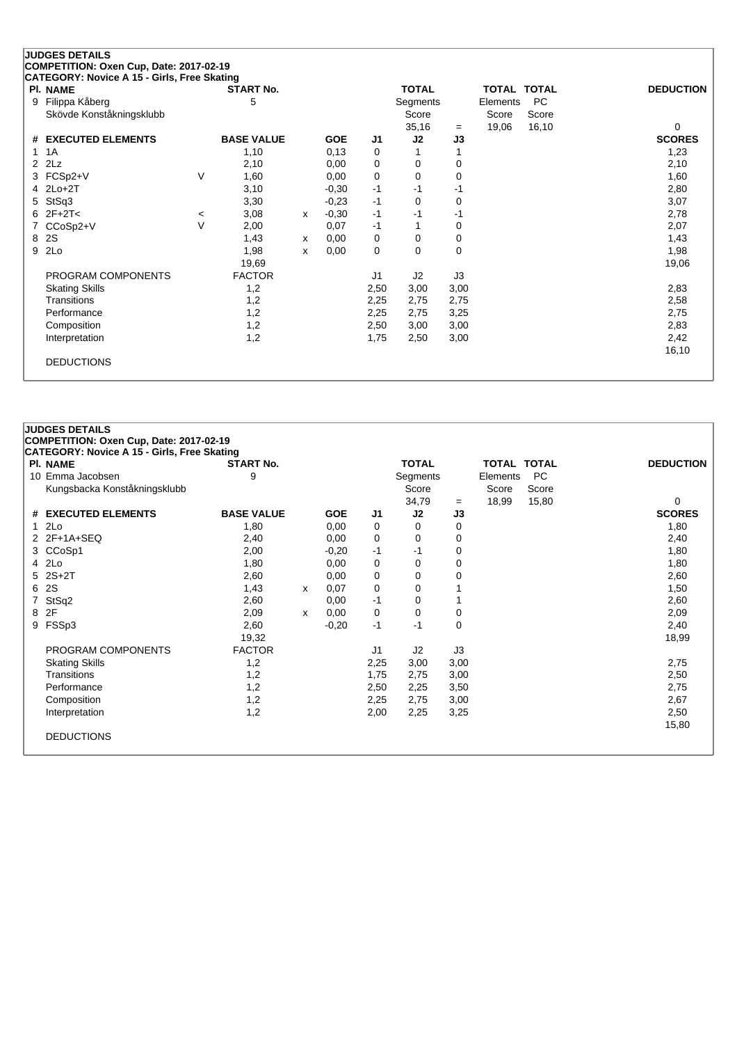# **JUDGES DETAILS COMPETITION: Oxen Cup, Date: 2017-02-19 CATEGORY: Novice A 15 - Girls, Free Skating Pl. NAME START No. TOTAL TOTAL TOTAL DEDUCTION** 9 Filippa Kåberg 1980 Segments Elements PC

| Skövde Konståkningsklubb |         |                   |   |            |                | Score |      | Score | Score |               |
|--------------------------|---------|-------------------|---|------------|----------------|-------|------|-------|-------|---------------|
|                          |         |                   |   |            |                | 35,16 | $=$  | 19,06 | 16,10 | 0             |
| # EXECUTED ELEMENTS      |         | <b>BASE VALUE</b> |   | <b>GOE</b> | J <sub>1</sub> | J2    | J3   |       |       | <b>SCORES</b> |
| 1 1 A                    |         | 1,10              |   | 0,13       | 0              |       |      |       |       | 1,23          |
| $2$ $2Lz$                |         | 2,10              |   | 0,00       | 0              | 0     | 0    |       |       | 2,10          |
| 3 FCSp2+V                | V       | 1,60              |   | 0,00       | 0              | 0     | 0    |       |       | 1,60          |
| 4 2Lo+2T                 |         | 3,10              |   | $-0,30$    | -1             | -1    | -1   |       |       | 2,80          |
| 5 StSq3                  |         | 3,30              |   | $-0,23$    | -1             | 0     | 0    |       |       | 3,07          |
| 6 $2F+2T<$               | $\,<\,$ | 3,08              | x | $-0,30$    | -1             | -1    | -1   |       |       | 2,78          |
| 7 CCoSp2+V               | $\vee$  | 2,00              |   | 0,07       | $-1$           |       | 0    |       |       | 2,07          |
| 8 2S                     |         | 1,43              | x | 0,00       | 0              | 0     | 0    |       |       | 1,43          |
| 9 2Lo                    |         | 1,98              | x | 0,00       | 0              | 0     | 0    |       |       | 1,98          |
|                          |         | 19,69             |   |            |                |       |      |       |       | 19,06         |
| PROGRAM COMPONENTS       |         | <b>FACTOR</b>     |   |            | J <sub>1</sub> | J2    | J3   |       |       |               |
| <b>Skating Skills</b>    |         | 1,2               |   |            | 2,50           | 3,00  | 3,00 |       |       | 2,83          |
| <b>Transitions</b>       |         | 1,2               |   |            | 2,25           | 2,75  | 2,75 |       |       | 2,58          |
| Performance              |         | 1,2               |   |            | 2,25           | 2,75  | 3,25 |       |       | 2,75          |
| Composition              |         | 1,2               |   |            | 2,50           | 3,00  | 3,00 |       |       | 2,83          |
| Interpretation           |         | 1,2               |   |            | 1,75           | 2,50  | 3,00 |       |       | 2,42          |
|                          |         |                   |   |            |                |       |      |       |       | 16,10         |
| <b>DEDUCTIONS</b>        |         |                   |   |            |                |       |      |       |       |               |
|                          |         |                   |   |            |                |       |      |       |       |               |

## **JUDGES DETAILS COMPETITION: Oxen Cup, Date: 2017-02-19 CATEGORY: Novice A 15 - Girls, Free Skating Pl. NAME START No. TOTAL TOTAL TOTAL DEDUCTION** 10 Emma Jacobsen 9 Segments Elements PC Kungsbacka Konståkningsklubb Score Score Score Score Score Score Score Score Score Score Score Score Score Score Score Score Score Score Score Score Score Score Score Score Score Score Score Score Score Score Score Score S  $\begin{array}{ccc} = & 18,99 & 15,80 & & & 0 \\ \end{array}$ <br>
33 SCORES **# EXECUTED ELEMENTS BASE VALUE GOE J1 J2 J3 SCORES** 1 2Lo 1,80 0,00 0 0 0 1,80 2 2F+1A+SEQ 2,40 0,00 0 0 0<br>3 CCoSp1 2,00 -0,20 -1 -1 0 1,80 3 CCoSp1 2,00 -0,20 -1 -1 0 1,80 4 2Lo 1,80 0,00 0 0 0 1,80 5 2S+2T 2,60 0,00 0 0 0 2,60 6 2S 1,43 <sup>x</sup> 0,07 0 0 1 1,50 7 StSq2 2,60 0,00 -1 0 1 2,60 8 2F 2,09 <sup>x</sup> 0,00 0 0 0 2,09 9 FSSp3 2,60 -0,20 -1 -1 0 2,40 19,32 18,99 PROGRAM COMPONENTS FACTOR J1 J2 J3 Skating Skills 1,2 2,25 3,00 3,00 2,75 Transitions 1,2 1,75 2,75 3,00 2,50 Performance 1,2 2,50 2,25 3,50 2,75 Composition 1,2 2,25 2,75 3,00 2,67 Interpretation 1,2 2,00 2,25 3,25 2,50 15,80 DEDUCTIONS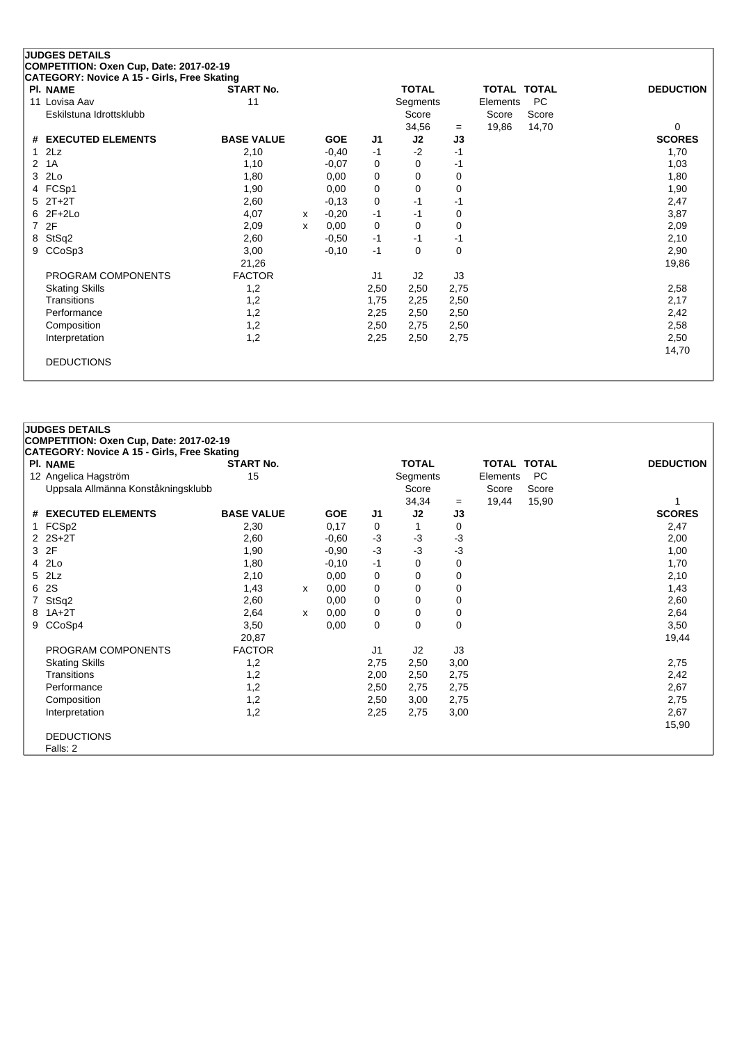#### **JUDGES DETAILS COMPETITION: Oxen Cup, Date: 2017-02-19 CATEGORY: Novice A 15 - Girls, Free Skating**

| 001120011.110106 A 13 - 01113, 1 166 OKatiliy<br>PI. NAME | <b>START No.</b>  |   |            |                | <b>TOTAL</b> |      | <b>TOTAL TOTAL</b> |           | <b>DEDUCTION</b> |
|-----------------------------------------------------------|-------------------|---|------------|----------------|--------------|------|--------------------|-----------|------------------|
| 11 Lovisa Aav                                             | 11                |   |            |                | Segments     |      | Elements           | <b>PC</b> |                  |
| Eskilstuna Idrottsklubb                                   |                   |   |            |                | Score        |      | Score              | Score     |                  |
|                                                           |                   |   |            |                | 34,56        | $=$  | 19,86              | 14,70     | 0                |
| # EXECUTED ELEMENTS                                       | <b>BASE VALUE</b> |   | <b>GOE</b> | J <sub>1</sub> | J2           | J3   |                    |           | <b>SCORES</b>    |
| $1$ $2Lz$                                                 | 2,10              |   | $-0,40$    | $-1$           | $-2$         | -1   |                    |           | 1,70             |
| 2 1A                                                      | 1,10              |   | $-0,07$    | 0              | 0            | -1   |                    |           | 1,03             |
| 3 2Lo                                                     | 1,80              |   | 0,00       | 0              | 0            | 0    |                    |           | 1,80             |
| 4 FCSp1                                                   | 1,90              |   | 0,00       | 0              | 0            | 0    |                    |           | 1,90             |
| $5$ $2T+2T$                                               | 2,60              |   | $-0,13$    | 0              | -1           | -1   |                    |           | 2,47             |
| $62F+2Lo$                                                 | 4,07              | x | $-0,20$    | -1             | -1           | 0    |                    |           | 3,87             |
| 7 2F                                                      | 2,09              | х | 0,00       | 0              | 0            | 0    |                    |           | 2,09             |
| 8 StSq2                                                   | 2,60              |   | $-0.50$    | $-1$           | -1           | -1   |                    |           | 2,10             |
| 9 CCoSp3                                                  | 3,00              |   | $-0,10$    | $-1$           | 0            | 0    |                    |           | 2,90             |
|                                                           | 21,26             |   |            |                |              |      |                    |           | 19,86            |
| PROGRAM COMPONENTS                                        | <b>FACTOR</b>     |   |            | J <sub>1</sub> | J2           | J3   |                    |           |                  |
| <b>Skating Skills</b>                                     | 1,2               |   |            | 2,50           | 2,50         | 2,75 |                    |           | 2,58             |
| Transitions                                               | 1,2               |   |            | 1,75           | 2,25         | 2,50 |                    |           | 2,17             |
| Performance                                               | 1,2               |   |            | 2,25           | 2,50         | 2,50 |                    |           | 2,42             |
| Composition                                               | 1,2               |   |            | 2,50           | 2,75         | 2,50 |                    |           | 2,58             |
| Interpretation                                            | 1,2               |   |            | 2,25           | 2,50         | 2,75 |                    |           | 2,50             |
|                                                           |                   |   |            |                |              |      |                    |           | 14,70            |
| <b>DEDUCTIONS</b>                                         |                   |   |            |                |              |      |                    |           |                  |

| COMPETITION: Oxen Cup, Date: 2017-02-19<br><b>CATEGORY: Novice A 15 - Girls, Free Skating</b><br><b>START No.</b><br><b>TOTAL</b><br><b>PI. NAME</b><br><b>TOTAL TOTAL</b><br>15<br><b>PC</b><br>12 Angelica Hagström<br>Segments<br>Elements<br>Uppsala Allmänna Konståkningsklubb<br>Score<br>Score<br>Score<br>34,34<br>15,90<br>19,44<br>$=$<br><b>BASE VALUE</b><br># EXECUTED ELEMENTS<br><b>GOE</b><br>J2<br>J3<br>J1<br>1 FCSp2<br>2,30<br>0,17<br>0<br>0<br>$\mathbf 1$<br>$2$ $2S+2T$<br>$-3$<br>$-3$<br>$-3$<br>2,60<br>$-0,60$<br>3 2F<br>$-3$<br>$-3$<br>$-3$<br>1,90<br>$-0,90$<br>4 2Lo<br>1,80<br>$-0,10$<br>$-1$<br>0<br>0<br>5 2Lz<br>2,10<br>0,00<br>0<br>0<br>0<br>6 2S<br>1,43<br>0<br>0,00<br>0<br>0<br>x<br>7 StSq2<br>2,60<br>0<br>0,00<br>0<br>0<br>8 1A+2T<br>0<br>2,64<br>0,00<br>0<br>0<br>x<br>9 CCoSp4<br>0<br>3,50<br>0,00<br>0<br>0<br>20,87 |                  |
|------------------------------------------------------------------------------------------------------------------------------------------------------------------------------------------------------------------------------------------------------------------------------------------------------------------------------------------------------------------------------------------------------------------------------------------------------------------------------------------------------------------------------------------------------------------------------------------------------------------------------------------------------------------------------------------------------------------------------------------------------------------------------------------------------------------------------------------------------------------------------|------------------|
|                                                                                                                                                                                                                                                                                                                                                                                                                                                                                                                                                                                                                                                                                                                                                                                                                                                                              |                  |
|                                                                                                                                                                                                                                                                                                                                                                                                                                                                                                                                                                                                                                                                                                                                                                                                                                                                              |                  |
|                                                                                                                                                                                                                                                                                                                                                                                                                                                                                                                                                                                                                                                                                                                                                                                                                                                                              | <b>DEDUCTION</b> |
|                                                                                                                                                                                                                                                                                                                                                                                                                                                                                                                                                                                                                                                                                                                                                                                                                                                                              |                  |
|                                                                                                                                                                                                                                                                                                                                                                                                                                                                                                                                                                                                                                                                                                                                                                                                                                                                              |                  |
|                                                                                                                                                                                                                                                                                                                                                                                                                                                                                                                                                                                                                                                                                                                                                                                                                                                                              |                  |
|                                                                                                                                                                                                                                                                                                                                                                                                                                                                                                                                                                                                                                                                                                                                                                                                                                                                              | <b>SCORES</b>    |
|                                                                                                                                                                                                                                                                                                                                                                                                                                                                                                                                                                                                                                                                                                                                                                                                                                                                              | 2,47             |
|                                                                                                                                                                                                                                                                                                                                                                                                                                                                                                                                                                                                                                                                                                                                                                                                                                                                              | 2,00             |
|                                                                                                                                                                                                                                                                                                                                                                                                                                                                                                                                                                                                                                                                                                                                                                                                                                                                              | 1,00             |
|                                                                                                                                                                                                                                                                                                                                                                                                                                                                                                                                                                                                                                                                                                                                                                                                                                                                              | 1,70             |
|                                                                                                                                                                                                                                                                                                                                                                                                                                                                                                                                                                                                                                                                                                                                                                                                                                                                              | 2,10             |
|                                                                                                                                                                                                                                                                                                                                                                                                                                                                                                                                                                                                                                                                                                                                                                                                                                                                              | 1,43             |
|                                                                                                                                                                                                                                                                                                                                                                                                                                                                                                                                                                                                                                                                                                                                                                                                                                                                              | 2,60             |
|                                                                                                                                                                                                                                                                                                                                                                                                                                                                                                                                                                                                                                                                                                                                                                                                                                                                              | 2,64             |
|                                                                                                                                                                                                                                                                                                                                                                                                                                                                                                                                                                                                                                                                                                                                                                                                                                                                              | 3,50             |
|                                                                                                                                                                                                                                                                                                                                                                                                                                                                                                                                                                                                                                                                                                                                                                                                                                                                              | 19,44            |
| <b>FACTOR</b><br>PROGRAM COMPONENTS<br>J2<br>J3<br>J1                                                                                                                                                                                                                                                                                                                                                                                                                                                                                                                                                                                                                                                                                                                                                                                                                        |                  |
| <b>Skating Skills</b><br>1,2<br>2,75<br>2,50<br>3,00                                                                                                                                                                                                                                                                                                                                                                                                                                                                                                                                                                                                                                                                                                                                                                                                                         | 2,75             |
| Transitions<br>1,2<br>2,00<br>2,50<br>2,75                                                                                                                                                                                                                                                                                                                                                                                                                                                                                                                                                                                                                                                                                                                                                                                                                                   | 2,42             |
| Performance<br>1,2<br>2,50<br>2,75<br>2,75                                                                                                                                                                                                                                                                                                                                                                                                                                                                                                                                                                                                                                                                                                                                                                                                                                   | 2,67             |
| Composition<br>1,2<br>2,50<br>3,00<br>2,75                                                                                                                                                                                                                                                                                                                                                                                                                                                                                                                                                                                                                                                                                                                                                                                                                                   | 2,75             |
| 1,2<br>2,25<br>2,75<br>3,00<br>Interpretation                                                                                                                                                                                                                                                                                                                                                                                                                                                                                                                                                                                                                                                                                                                                                                                                                                | 2,67             |
|                                                                                                                                                                                                                                                                                                                                                                                                                                                                                                                                                                                                                                                                                                                                                                                                                                                                              | 15,90            |
| <b>DEDUCTIONS</b>                                                                                                                                                                                                                                                                                                                                                                                                                                                                                                                                                                                                                                                                                                                                                                                                                                                            |                  |
| Falls: 2                                                                                                                                                                                                                                                                                                                                                                                                                                                                                                                                                                                                                                                                                                                                                                                                                                                                     |                  |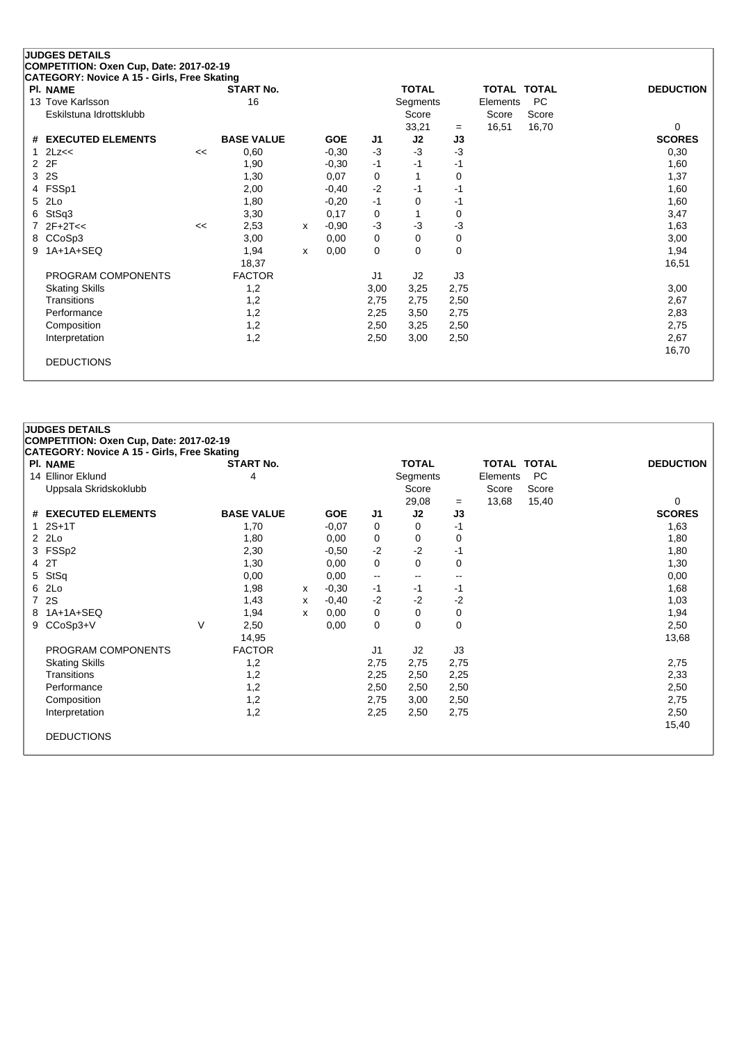|   | <b>JUDGES DETAILS</b>                       |    |                   |   |            |      |                |      |                    |           |                  |
|---|---------------------------------------------|----|-------------------|---|------------|------|----------------|------|--------------------|-----------|------------------|
|   | COMPETITION: Oxen Cup, Date: 2017-02-19     |    |                   |   |            |      |                |      |                    |           |                  |
|   | CATEGORY: Novice A 15 - Girls, Free Skating |    |                   |   |            |      |                |      |                    |           |                  |
|   | <b>PI. NAME</b>                             |    | <b>START No.</b>  |   |            |      | <b>TOTAL</b>   |      | <b>TOTAL TOTAL</b> |           | <b>DEDUCTION</b> |
|   | 13 Tove Karlsson                            |    | 16                |   |            |      | Segments       |      | Elements           | <b>PC</b> |                  |
|   | Eskilstuna Idrottsklubb                     |    |                   |   |            |      | Score          |      | Score              | Score     |                  |
|   |                                             |    |                   |   |            |      | 33,21          | $=$  | 16,51              | 16,70     | 0                |
|   | # EXECUTED ELEMENTS                         |    | <b>BASE VALUE</b> |   | <b>GOE</b> | J1   | J2             | J3   |                    |           | <b>SCORES</b>    |
|   | 2Lz<<                                       | << | 0,60              |   | $-0,30$    | $-3$ | $-3$           | $-3$ |                    |           | 0,30             |
| 2 | 2F                                          |    | 1,90              |   | $-0,30$    | $-1$ | $-1$           | -1   |                    |           | 1,60             |
| 3 | 2S                                          |    | 1,30              |   | 0,07       | 0    |                | 0    |                    |           | 1,37             |
| 4 | FSSp1                                       |    | 2,00              |   | $-0,40$    | $-2$ | $-1$           | -1   |                    |           | 1,60             |
| 5 | 2Lo                                         |    | 1,80              |   | $-0,20$    | $-1$ | 0              | $-1$ |                    |           | 1,60             |
| 6 | StSq3                                       |    | 3,30              |   | 0,17       | 0    |                | 0    |                    |           | 3,47             |
|   | $2F+2T<<$                                   | << | 2,53              | x | $-0,90$    | $-3$ | $-3$           | -3   |                    |           | 1,63             |
| 8 | CCoSp3                                      |    | 3,00              |   | 0,00       | 0    | 0              | 0    |                    |           | 3,00             |
| 9 | 1A+1A+SEQ                                   |    | 1,94              | x | 0,00       | 0    | 0              | 0    |                    |           | 1,94             |
|   |                                             |    | 18,37             |   |            |      |                |      |                    |           | 16,51            |
|   | PROGRAM COMPONENTS                          |    | <b>FACTOR</b>     |   |            | J1   | J <sub>2</sub> | J3   |                    |           |                  |
|   | <b>Skating Skills</b>                       |    | 1,2               |   |            | 3,00 | 3,25           | 2,75 |                    |           | 3,00             |
|   | Transitions                                 |    | 1,2               |   |            | 2,75 | 2,75           | 2,50 |                    |           | 2,67             |
|   | Performance                                 |    | 1,2               |   |            | 2,25 | 3,50           | 2,75 |                    |           | 2,83             |
|   | Composition                                 |    | 1,2               |   |            | 2,50 | 3,25           | 2,50 |                    |           | 2,75             |
|   | Interpretation                              |    | 1,2               |   |            | 2,50 | 3,00           | 2,50 |                    |           | 2,67             |
|   |                                             |    |                   |   |            |      |                |      |                    |           | 16,70            |
|   | <b>DEDUCTIONS</b>                           |    |                   |   |            |      |                |      |                    |           |                  |
|   |                                             |    |                   |   |            |      |                |      |                    |           |                  |

|             | <b>JUDGES DETAILS</b>                                                                         |   |                   |   |            |                          |                          |      |             |           |                  |
|-------------|-----------------------------------------------------------------------------------------------|---|-------------------|---|------------|--------------------------|--------------------------|------|-------------|-----------|------------------|
|             | COMPETITION: Oxen Cup, Date: 2017-02-19<br><b>CATEGORY: Novice A 15 - Girls, Free Skating</b> |   |                   |   |            |                          |                          |      |             |           |                  |
|             | PI. NAME                                                                                      |   | <b>START No.</b>  |   |            |                          | <b>TOTAL</b>             |      | TOTAL TOTAL |           | <b>DEDUCTION</b> |
|             | 14 Ellinor Eklund                                                                             |   | 4                 |   |            |                          | Segments                 |      | Elements    | <b>PC</b> |                  |
|             | Uppsala Skridskoklubb                                                                         |   |                   |   |            |                          | Score                    |      | Score       | Score     |                  |
|             |                                                                                               |   |                   |   |            |                          | 29,08                    | $=$  | 13,68       | 15,40     | 0                |
|             | # EXECUTED ELEMENTS                                                                           |   | <b>BASE VALUE</b> |   | <b>GOE</b> | J1                       | J2                       | J3   |             |           | <b>SCORES</b>    |
|             | $1.2S+1T$                                                                                     |   | 1,70              |   | $-0,07$    | 0                        | 0                        | $-1$ |             |           | 1,63             |
|             | 2 2Lo                                                                                         |   | 1,80              |   | 0,00       | 0                        | 0                        | 0    |             |           | 1,80             |
|             | 3 FSSp2                                                                                       |   | 2,30              |   | $-0,50$    | $-2$                     | $-2$                     | $-1$ |             |           | 1,80             |
|             | 4 2T                                                                                          |   | 1,30              |   | 0,00       | 0                        | 0                        | 0    |             |           | 1,30             |
| 5           | StSq                                                                                          |   | 0,00              |   | 0,00       | $\overline{\phantom{m}}$ | $\overline{\phantom{a}}$ | --   |             |           | 0,00             |
|             | 6 2Lo                                                                                         |   | 1,98              | x | $-0,30$    | $-1$                     | $-1$                     | -1   |             |           | 1,68             |
| $7^{\circ}$ | <b>2S</b>                                                                                     |   | 1,43              | X | $-0,40$    | $-2$                     | $-2$                     | $-2$ |             |           | 1,03             |
| 8           | $1A+1A+SEQ$                                                                                   |   | 1,94              | X | 0,00       | 0                        | 0                        | 0    |             |           | 1,94             |
| 9           | CCoSp3+V                                                                                      | V | 2,50              |   | 0,00       | 0                        | 0                        | 0    |             |           | 2,50             |
|             |                                                                                               |   | 14,95             |   |            |                          |                          |      |             |           | 13,68            |
|             | PROGRAM COMPONENTS                                                                            |   | <b>FACTOR</b>     |   |            | J <sub>1</sub>           | J2                       | J3   |             |           |                  |
|             | <b>Skating Skills</b>                                                                         |   | 1,2               |   |            | 2,75                     | 2,75                     | 2,75 |             |           | 2,75             |
|             | Transitions                                                                                   |   | 1,2               |   |            | 2,25                     | 2,50                     | 2,25 |             |           | 2,33             |
|             | Performance                                                                                   |   | 1,2               |   |            | 2,50                     | 2,50                     | 2,50 |             |           | 2,50             |
|             | Composition                                                                                   |   | 1,2               |   |            | 2,75                     | 3,00                     | 2,50 |             |           | 2,75             |
|             | Interpretation                                                                                |   | 1,2               |   |            | 2,25                     | 2,50                     | 2,75 |             |           | 2,50             |
|             |                                                                                               |   |                   |   |            |                          |                          |      |             |           | 15,40            |
|             | <b>DEDUCTIONS</b>                                                                             |   |                   |   |            |                          |                          |      |             |           |                  |
|             |                                                                                               |   |                   |   |            |                          |                          |      |             |           |                  |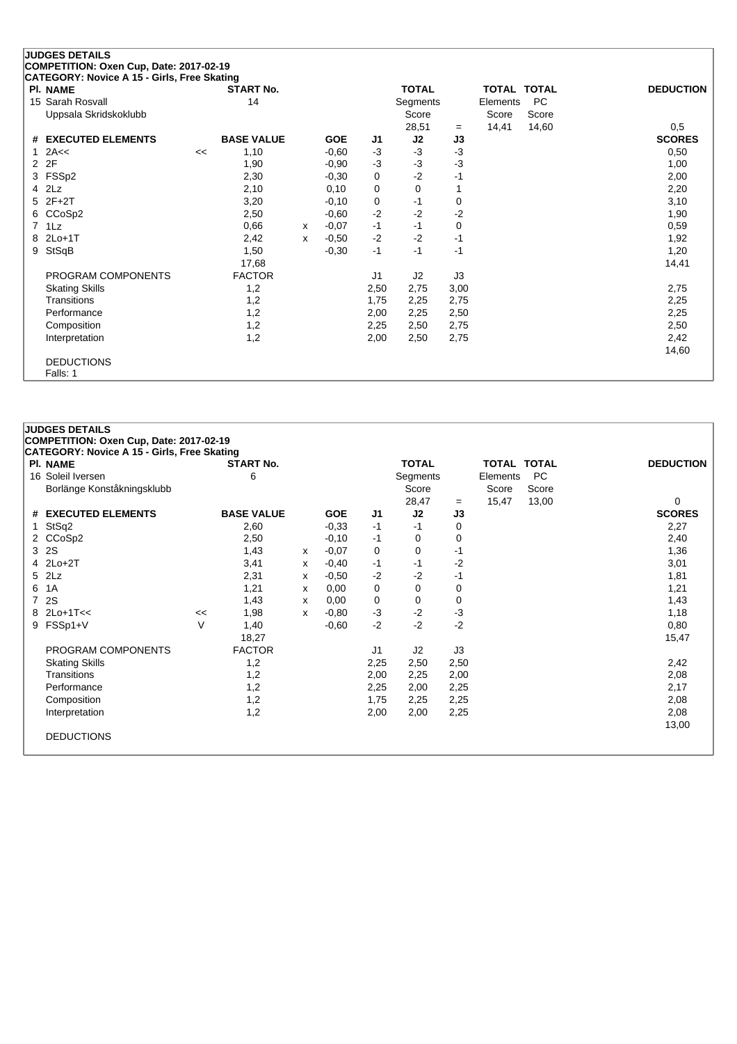|                | <b>JUDGES DETAILS</b>                       |    |                   |   |            |      |              |      |                    |           |                  |
|----------------|---------------------------------------------|----|-------------------|---|------------|------|--------------|------|--------------------|-----------|------------------|
|                | COMPETITION: Oxen Cup, Date: 2017-02-19     |    |                   |   |            |      |              |      |                    |           |                  |
|                | CATEGORY: Novice A 15 - Girls, Free Skating |    |                   |   |            |      |              |      |                    |           |                  |
|                | <b>PI. NAME</b>                             |    | <b>START No.</b>  |   |            |      | <b>TOTAL</b> |      | <b>TOTAL TOTAL</b> |           | <b>DEDUCTION</b> |
|                | 15 Sarah Rosvall                            |    | 14                |   |            |      | Segments     |      | Elements           | <b>PC</b> |                  |
|                | Uppsala Skridskoklubb                       |    |                   |   |            |      | Score        |      | Score              | Score     |                  |
|                |                                             |    |                   |   |            |      | 28,51        | $=$  | 14,41              | 14,60     | 0,5              |
|                | # EXECUTED ELEMENTS                         |    | <b>BASE VALUE</b> |   | <b>GOE</b> | J1   | J2           | J3   |                    |           | <b>SCORES</b>    |
|                | 2A<<                                        | << | 1,10              |   | $-0,60$    | $-3$ | $-3$         | $-3$ |                    |           | 0,50             |
| $\overline{2}$ | 2F                                          |    | 1,90              |   | $-0,90$    | $-3$ | $-3$         | $-3$ |                    |           | 1,00             |
| 3              | FSSp2                                       |    | 2,30              |   | $-0,30$    | 0    | $-2$         | $-1$ |                    |           | 2,00             |
| 4              | 2Lz                                         |    | 2,10              |   | 0,10       | 0    | $\Omega$     |      |                    |           | 2,20             |
| 5.             | $2F+2T$                                     |    | 3,20              |   | $-0,10$    | 0    | $-1$         | 0    |                    |           | 3,10             |
| 6              | CCoSp2                                      |    | 2,50              |   | $-0,60$    | $-2$ | $-2$         | -2   |                    |           | 1,90             |
| 7              | 1Lz                                         |    | 0,66              | x | $-0,07$    | $-1$ | $-1$         | 0    |                    |           | 0,59             |
| 8              | $2Lo+1T$                                    |    | 2,42              | x | $-0,50$    | $-2$ | $-2$         | $-1$ |                    |           | 1,92             |
| 9              | StSqB                                       |    | 1,50              |   | $-0,30$    | $-1$ | $-1$         | $-1$ |                    |           | 1,20             |
|                |                                             |    | 17,68             |   |            |      |              |      |                    |           | 14,41            |
|                | PROGRAM COMPONENTS                          |    | <b>FACTOR</b>     |   |            | J1   | J2           | J3   |                    |           |                  |
|                | <b>Skating Skills</b>                       |    | 1,2               |   |            | 2,50 | 2,75         | 3,00 |                    |           | 2,75             |
|                | Transitions                                 |    | 1,2               |   |            | 1,75 | 2,25         | 2,75 |                    |           | 2,25             |
|                | Performance                                 |    | 1,2               |   |            | 2,00 | 2,25         | 2,50 |                    |           | 2,25             |
|                | Composition                                 |    | 1,2               |   |            | 2,25 | 2,50         | 2,75 |                    |           | 2,50             |
|                | Interpretation                              |    | 1,2               |   |            | 2,00 | 2,50         | 2,75 |                    |           | 2,42             |
|                |                                             |    |                   |   |            |      |              |      |                    |           | 14,60            |
|                | <b>DEDUCTIONS</b>                           |    |                   |   |            |      |              |      |                    |           |                  |
|                | Falls: 1                                    |    |                   |   |            |      |              |      |                    |           |                  |
|                |                                             |    |                   |   |            |      |              |      |                    |           |                  |

| <b>JUDGES DETAILS</b> |                                                                                      |    |                   |   |            |      |              |      |          |       |                  |  |  |
|-----------------------|--------------------------------------------------------------------------------------|----|-------------------|---|------------|------|--------------|------|----------|-------|------------------|--|--|
|                       | COMPETITION: Oxen Cup, Date: 2017-02-19                                              |    |                   |   |            |      |              |      |          |       |                  |  |  |
|                       | <b>CATEGORY: Novice A 15 - Girls, Free Skating</b><br>PI. NAME<br><b>TOTAL TOTAL</b> |    |                   |   |            |      |              |      |          |       |                  |  |  |
|                       |                                                                                      |    | <b>START No.</b>  |   |            |      | <b>TOTAL</b> |      |          |       | <b>DEDUCTION</b> |  |  |
|                       | 16 Soleil Iversen                                                                    |    | 6                 |   |            |      | Segments     |      | Elements | PC    |                  |  |  |
|                       | Borlänge Konståkningsklubb                                                           |    |                   |   |            |      | Score        |      | Score    | Score |                  |  |  |
|                       |                                                                                      |    |                   |   |            |      | 28,47        | $=$  | 15,47    | 13,00 | 0                |  |  |
|                       | # EXECUTED ELEMENTS                                                                  |    | <b>BASE VALUE</b> |   | <b>GOE</b> | J1   | J2           | J3   |          |       | <b>SCORES</b>    |  |  |
| $\mathbf{1}$          | StSq2                                                                                |    | 2,60              |   | $-0,33$    | $-1$ | $-1$         | 0    |          |       | 2,27             |  |  |
| 2                     | CCoSp2                                                                               |    | 2,50              |   | $-0,10$    | -1   | 0            | 0    |          |       | 2,40             |  |  |
|                       | 3 2S                                                                                 |    | 1,43              | x | $-0,07$    | 0    | 0            | -1   |          |       | 1,36             |  |  |
|                       | $4$ 2Lo+2T                                                                           |    | 3,41              | х | $-0,40$    | $-1$ | $-1$         | $-2$ |          |       | 3,01             |  |  |
|                       | 5 2Lz                                                                                |    | 2,31              | х | $-0,50$    | $-2$ | $-2$         | $-1$ |          |       | 1,81             |  |  |
| 6                     | 1A                                                                                   |    | 1,21              | x | 0,00       | 0    | 0            | 0    |          |       | 1,21             |  |  |
| $\overline{7}$        | 2S                                                                                   |    | 1,43              | х | 0,00       | 0    | 0            | 0    |          |       | 1,43             |  |  |
| 8                     | $2Lo+1T<<$                                                                           | << | 1,98              | x | $-0.80$    | $-3$ | $-2$         | -3   |          |       | 1,18             |  |  |
| 9                     | FSSp1+V                                                                              | V  | 1,40              |   | $-0.60$    | $-2$ | $-2$         | $-2$ |          |       | 0,80             |  |  |
|                       |                                                                                      |    | 18,27             |   |            |      |              |      |          |       | 15,47            |  |  |
|                       | PROGRAM COMPONENTS                                                                   |    | <b>FACTOR</b>     |   |            | J1   | J2           | J3   |          |       |                  |  |  |
|                       | <b>Skating Skills</b>                                                                |    | 1,2               |   |            | 2,25 | 2,50         | 2,50 |          |       | 2,42             |  |  |
|                       | Transitions                                                                          |    | 1,2               |   |            | 2,00 | 2,25         | 2,00 |          |       | 2,08             |  |  |
|                       | Performance                                                                          |    | 1,2               |   |            | 2,25 | 2,00         | 2,25 |          |       | 2,17             |  |  |
|                       | Composition                                                                          |    | 1,2               |   |            | 1,75 | 2,25         | 2,25 |          |       | 2,08             |  |  |
|                       | Interpretation                                                                       |    | 1,2               |   |            | 2,00 | 2,00         | 2,25 |          |       | 2,08             |  |  |
|                       |                                                                                      |    |                   |   |            |      |              |      |          |       | 13,00            |  |  |
|                       | <b>DEDUCTIONS</b>                                                                    |    |                   |   |            |      |              |      |          |       |                  |  |  |
|                       |                                                                                      |    |                   |   |            |      |              |      |          |       |                  |  |  |